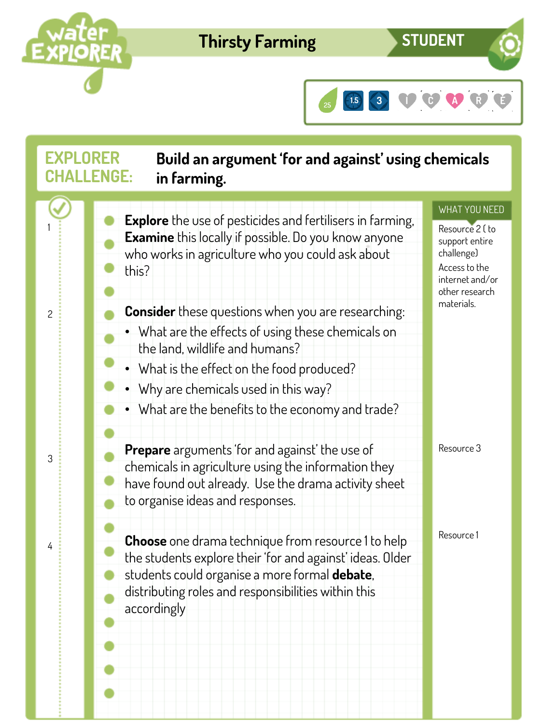

## **Thirsty Farming**

**STUDENT**